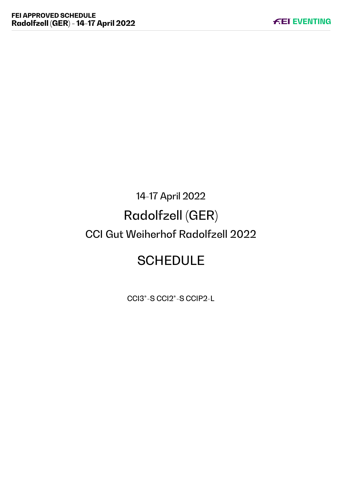# 14-17 April 2022 Radolfzell (GER) CCI Gut Weiherhof Radolfzell 2022

# **SCHEDULE**

CCI3\*-S CCI2\*-S CCIP2-L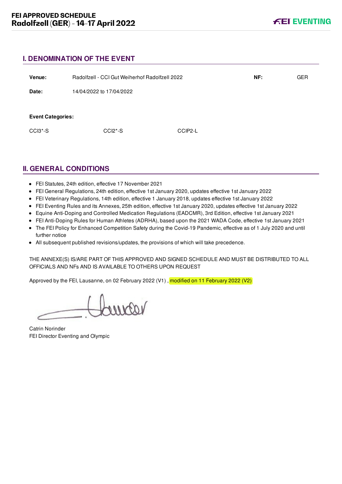# **I. DENOMINATION OF THE EVENT**

| Venue:                   | Radolfzell - CCI Gut Weiherhof Radolfzell 2022 |         | NF: | <b>GER</b> |
|--------------------------|------------------------------------------------|---------|-----|------------|
| Date:                    | 14/04/2022 to 17/04/2022                       |         |     |            |
|                          |                                                |         |     |            |
| <b>Event Categories:</b> |                                                |         |     |            |
| CCI3 <sup>*</sup> -S     | $CCI2*-S$                                      | CCIP2-L |     |            |
|                          |                                                |         |     |            |

# **II. GENERAL CONDITIONS**

- FEI Statutes, 24th edition, effective 17 November 2021
- FEI General Regulations, 24th edition, effective 1st January 2020, updates effective 1st January 2022
- FEI Veterinary Regulations, 14th edition, effective 1 January 2018, updates effective 1st January 2022
- FEI Eventing Rules and its Annexes, 25th edition, effective 1st January 2020, updates effective 1st January 2022
- Equine Anti-Doping and Controlled Medication Regulations (EADCMR), 3rd Edition, effective 1st January 2021
- FEI Anti-Doping Rules for Human Athletes (ADRHA), based upon the 2021 WADA Code, effective 1st January 2021
- The FEI Policy for Enhanced Competition Safety during the Covid-19 Pandemic, effective as of 1 July 2020 and until further notice
- All subsequent published revisions/updates, the provisions of which will take precedence.

THE ANNEXE(S) IS/ARE PART OF THIS APPROVED AND SIGNED SCHEDULE AND MUST BE DISTRIBUTED TO ALL OFFICIALS AND NFs AND IS AVAILABLE TO OTHERS UPON REQUEST

Approved by the FEI, Lausanne, on 02 February 2022 (V1), modified on 11 February 2022 (V2)

voorno

Catrin Norinder FEI Director Eventing and Olympic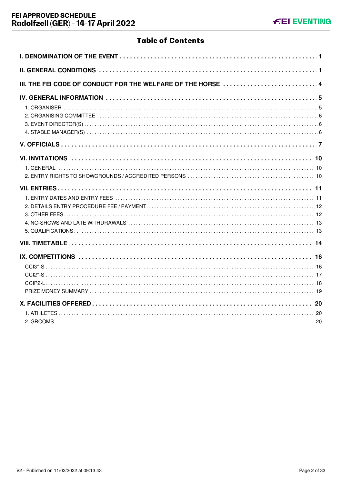# **Table of Contents**

| III. THE FEI CODE OF CONDUCT FOR THE WELFARE OF THE HORSE 4 |
|-------------------------------------------------------------|
|                                                             |
|                                                             |
|                                                             |
|                                                             |
|                                                             |
|                                                             |
|                                                             |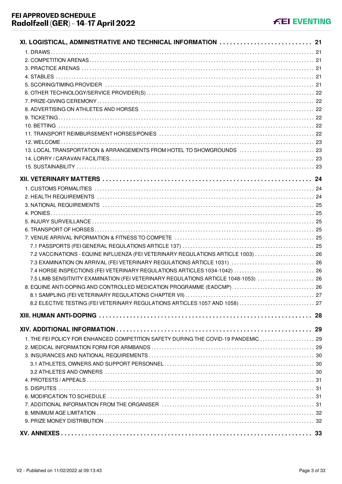| 13. LOCAL TRANSPORTATION & ARRANGEMENTS FROM HOTEL TO SHOWGROUNDS  23               |    |
|-------------------------------------------------------------------------------------|----|
|                                                                                     |    |
|                                                                                     |    |
|                                                                                     |    |
|                                                                                     |    |
|                                                                                     |    |
|                                                                                     |    |
|                                                                                     |    |
|                                                                                     |    |
|                                                                                     |    |
|                                                                                     |    |
|                                                                                     |    |
| 7.2 VACCINATIONS - EQUINE INFLUENZA (FEI VETERINARY REGULATIONS ARTICLE 1003)  26   |    |
| 7.3 EXAMINATION ON ARRIVAL (FEI VETERINARY REGULATIONS ARTICLE 1031)  26            |    |
| 7.4 HORSE INSPECTIONS (FEI VETERINARY REGULATIONS ARTICLES 1034-1042)  26           |    |
| 7.5 LIMB SENSITIVITY EXAMINATION (FEI VETERINARY REGULATIONS ARTICLE 1048-1053)  26 |    |
| 8. EQUINE ANTI-DOPING AND CONTROLLED MEDICATION PROGRAMME (EADCMP)  26              |    |
|                                                                                     | 27 |
| 8.2 ELECTIVE TESTING (FEI VETERINARY REGULATIONS ARTICLES 1057 AND 1058)  27        |    |
|                                                                                     |    |
|                                                                                     |    |
|                                                                                     |    |
| 1. THE FEI POLICY FOR ENHANCED COMPETITION SAFETY DURING THE COVID-19 PANDEMIC  29  |    |
|                                                                                     |    |
|                                                                                     |    |
|                                                                                     |    |
|                                                                                     |    |
|                                                                                     |    |
|                                                                                     |    |
|                                                                                     |    |
|                                                                                     |    |
|                                                                                     |    |
|                                                                                     |    |
|                                                                                     |    |
|                                                                                     |    |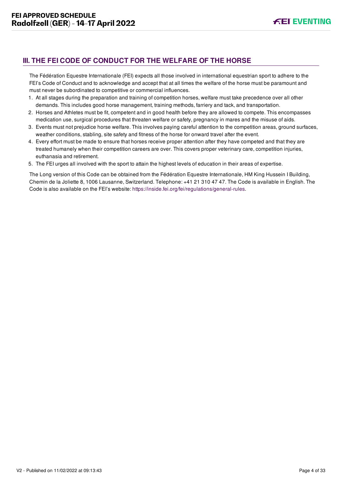# <span id="page-4-0"></span>**III. THE FEI CODE OF CONDUCT FOR THE WELFARE OF THE HORSE**

The Fédération Equestre Internationale (FEI) expects all those involved in international equestrian sport to adhere to the FEI's Code of Conduct and to acknowledge and accept that at all times the welfare of the horse must be paramount and must never be subordinated to competitive or commercial influences.

- 1. At all stages during the preparation and training of competition horses, welfare must take precedence over all other demands. This includes good horse management, training methods, farriery and tack, and transportation.
- 2. Horses and Athletes must be fit, competent and in good health before they are allowed to compete. This encompasses medication use, surgical procedures that threaten welfare or safety, pregnancy in mares and the misuse of aids.
- 3. Events must not prejudice horse welfare. This involves paying careful attention to the competition areas, ground surfaces, weather conditions, stabling, site safety and fitness of the horse for onward travel after the event.
- 4. Every effort must be made to ensure that horses receive proper attention after they have competed and that they are treated humanely when their competition careers are over. This covers proper veterinary care, competition injuries, euthanasia and retirement.
- 5. The FEI urges all involved with the sport to attain the highest levels of education in their areas of expertise.

The Long version of this Code can be obtained from the Fédération Equestre Internationale, HM King Hussein I Building, Chemin de la Joliette 8, 1006 Lausanne, Switzerland. Telephone: +41 21 310 47 47. The Code is available in English. The Code is also available on the FEI's website:<https://inside.fei.org/fei/regulations/general-rules>.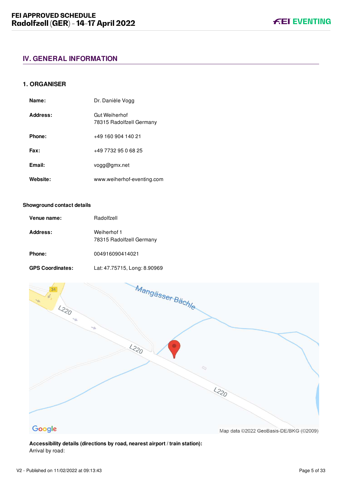#### <span id="page-5-1"></span><span id="page-5-0"></span>**1. ORGANISER**

| Name:    | Dr. Danièle Vogg                          |
|----------|-------------------------------------------|
| Address: | Gut Weiherhof<br>78315 Radolfzell Germany |
| Phone:   | +49 160 904 140 21                        |
| Fax:     | +49 7732 95 0 68 25                       |
| Email:   | vogg@gmx.net                              |
| Website: | www.weiherhof-eventing.com                |

#### **Showground contact details**

| Venue name:             | Radolfzell                              |
|-------------------------|-----------------------------------------|
| Address:                | Weiherhof 1<br>78315 Radolfzell Germany |
| Phone:                  | 004916090414021                         |
| <b>GPS Coordinates:</b> | Lat: 47.75715, Long: 8.90969            |



## **Accessibility details (directions by road, nearest airport / train station):** Arrival by road:

**FEI EVENTING**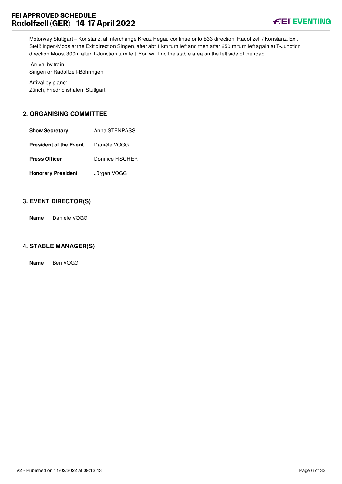

Motorway Stuttgart – Konstanz, at interchange Kreuz Hegau continue onto B33 direction Radolfzell / Konstanz, Exit Steißlingen/Moos at the Exit direction Singen, after abt 1 km turn left and then after 250 m turn left again at T-Junction direction Moos, 300m after T-Junction turn left. You will find the stable area on the left side of the road.

 Arrival by train: Singen or Radolfzell-Böhringen

Arrival by plane: Zürich, Friedrichshafen, Stuttgart

# <span id="page-6-0"></span>**2. ORGANISING COMMITTEE**

| <b>Show Secretary</b>         | Anna STENPASS   |
|-------------------------------|-----------------|
| <b>President of the Event</b> | Danièle VOGG    |
| <b>Press Officer</b>          | Donnice FISCHER |
| <b>Honorary President</b>     | Jürgen VOGG     |

# <span id="page-6-1"></span>**3. EVENT DIRECTOR(S)**

**Name:** Danièle VOGG

# <span id="page-6-2"></span>**4. STABLE MANAGER(S)**

**Name:** Ben VOGG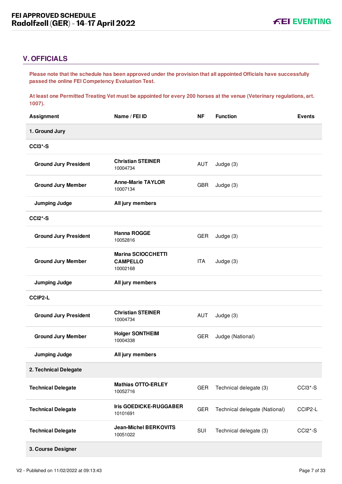# <span id="page-7-0"></span>**V. OFFICIALS**

**Please note that the schedule has been approved under the provision that all appointed Officials have successfully passed the online FEI Competency Evaluation Test.** 

**At least one Permitted Treating Vet must be appointed for every 200 horses at the venue (Veterinary regulations, art. 1007).**

| <b>Assignment</b>            | Name / FEI ID                                            | <b>NF</b>  | <b>Function</b>               | <b>Events</b> |
|------------------------------|----------------------------------------------------------|------------|-------------------------------|---------------|
| 1. Ground Jury               |                                                          |            |                               |               |
| CCI3*-S                      |                                                          |            |                               |               |
| <b>Ground Jury President</b> | <b>Christian STEINER</b><br>10004734                     | AUT        | Judge (3)                     |               |
| <b>Ground Jury Member</b>    | <b>Anne-Marie TAYLOR</b><br>10007134                     | <b>GBR</b> | Judge $(3)$                   |               |
| <b>Jumping Judge</b>         | All jury members                                         |            |                               |               |
| CCI2*-S                      |                                                          |            |                               |               |
| <b>Ground Jury President</b> | <b>Hanna ROGGE</b><br>10052816                           | <b>GER</b> | Judge (3)                     |               |
| <b>Ground Jury Member</b>    | <b>Marina SCIOCCHETTI</b><br><b>CAMPELLO</b><br>10002168 | ITA        | Judge (3)                     |               |
| <b>Jumping Judge</b>         | All jury members                                         |            |                               |               |
| <b>CCIP2-L</b>               |                                                          |            |                               |               |
| <b>Ground Jury President</b> | <b>Christian STEINER</b><br>10004734                     | AUT        | Judge (3)                     |               |
| <b>Ground Jury Member</b>    | <b>Holger SONTHEIM</b><br>10004338                       | <b>GER</b> | Judge (National)              |               |
| <b>Jumping Judge</b>         | All jury members                                         |            |                               |               |
| 2. Technical Delegate        |                                                          |            |                               |               |
| <b>Technical Delegate</b>    | <b>Mathias OTTO-ERLEY</b><br>10052716                    | <b>GER</b> | Technical delegate (3)        | CCI3*-S       |
| <b>Technical Delegate</b>    | <b>Iris GOEDICKE-RUGGABER</b><br>10101691                | <b>GER</b> | Technical delegate (National) | CCIP2-L       |
| <b>Technical Delegate</b>    | <b>Jean-Michel BERKOVITS</b><br>10051022                 | SUI        | Technical delegate (3)        | CCI2*-S       |
| 3. Course Designer           |                                                          |            |                               |               |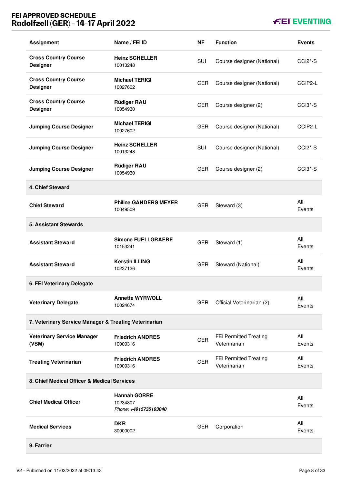# **FEI APPROVED SCHEDULE Radolfzell (GER) - 14-17 April 2022**

# **FEI EVENTING**

| <b>Assignment</b>                                     | Name / FEI ID                                            | ΝF         | <b>Function</b>                               | <b>Events</b>                    |
|-------------------------------------------------------|----------------------------------------------------------|------------|-----------------------------------------------|----------------------------------|
| <b>Cross Country Course</b><br><b>Designer</b>        | <b>Heinz SCHELLER</b><br>10013248                        | <b>SUI</b> | Course designer (National)                    | CCI <sub>2</sub> <sup>*</sup> -S |
| <b>Cross Country Course</b><br><b>Designer</b>        | <b>Michael TERIGI</b><br>10027602                        | <b>GER</b> | Course designer (National)                    | CCIP2-L                          |
| <b>Cross Country Course</b><br><b>Designer</b>        | <b>Rüdiger RAU</b><br>10054930                           | <b>GER</b> | Course designer (2)                           | CCI <sub>3</sub> <sup>*</sup> -S |
| <b>Jumping Course Designer</b>                        | <b>Michael TERIGI</b><br>10027602                        | <b>GER</b> | Course designer (National)                    | CCIP2-L                          |
| <b>Jumping Course Designer</b>                        | <b>Heinz SCHELLER</b><br>10013248                        | <b>SUI</b> | Course designer (National)                    | CCI <sub>2</sub> <sup>*</sup> -S |
| <b>Jumping Course Designer</b>                        | <b>Rüdiger RAU</b><br>10054930                           | <b>GER</b> | Course designer (2)                           | CCI <sub>3</sub> <sup>*</sup> -S |
| 4. Chief Steward                                      |                                                          |            |                                               |                                  |
| <b>Chief Steward</b>                                  | <b>Philine GANDERS MEYER</b><br>10049509                 | <b>GER</b> | Steward (3)                                   | All<br>Events                    |
| <b>5. Assistant Stewards</b>                          |                                                          |            |                                               |                                  |
| <b>Assistant Steward</b>                              | <b>Simone FUELLGRAEBE</b><br>10153241                    | <b>GER</b> | Steward (1)                                   | All<br>Events                    |
| <b>Assistant Steward</b>                              | <b>Kerstin ILLING</b><br>10237126                        | <b>GER</b> | Steward (National)                            | All<br>Events                    |
| 6. FEI Veterinary Delegate                            |                                                          |            |                                               |                                  |
| <b>Veterinary Delegate</b>                            | <b>Annette WYRWOLL</b><br>10024674                       | <b>GER</b> | Official Veterinarian (2)                     | All<br>Events                    |
| 7. Veterinary Service Manager & Treating Veterinarian |                                                          |            |                                               |                                  |
| <b>Veterinary Service Manager</b><br>(VSM)            | <b>Friedrich ANDRES</b><br>10009316                      | <b>GER</b> | <b>FEI Permitted Treating</b><br>Veterinarian | All<br>Events                    |
| <b>Treating Veterinarian</b>                          | <b>Friedrich ANDRES</b><br>10009316                      | <b>GER</b> | FEI Permitted Treating<br>Veterinarian        | All<br>Events                    |
| 8. Chief Medical Officer & Medical Services           |                                                          |            |                                               |                                  |
| <b>Chief Medical Officer</b>                          | <b>Hannah GORRE</b><br>10234807<br>Phone: +4915735193040 |            |                                               | All<br>Events                    |
| <b>Medical Services</b>                               | <b>DKR</b><br>30000002                                   | <b>GER</b> | Corporation                                   | All<br>Events                    |
| 9. Farrier                                            |                                                          |            |                                               |                                  |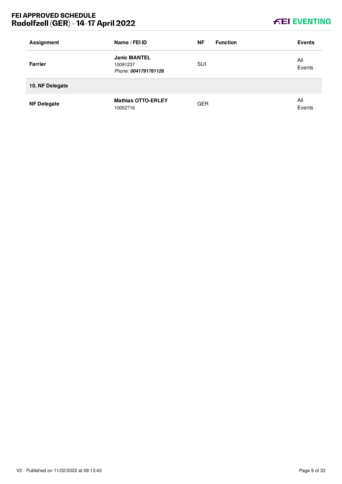# **FEI APPROVED SCHEDULE Radolfzell (GER) - 14-17 April 2022**

# **KEI EVENTING**

| <b>Assignment</b>  | Name / FEI ID                                           | <b>NF</b>  | <b>Function</b> | <b>Events</b> |
|--------------------|---------------------------------------------------------|------------|-----------------|---------------|
| <b>Farrier</b>     | <b>Janic MANTEL</b><br>10091237<br>Phone: 0041791761126 | SUI        |                 | All<br>Events |
| 10. NF Delegate    |                                                         |            |                 |               |
| <b>NF Delegate</b> | <b>Mathias OTTO-ERLEY</b><br>10052716                   | <b>GER</b> |                 | All<br>Events |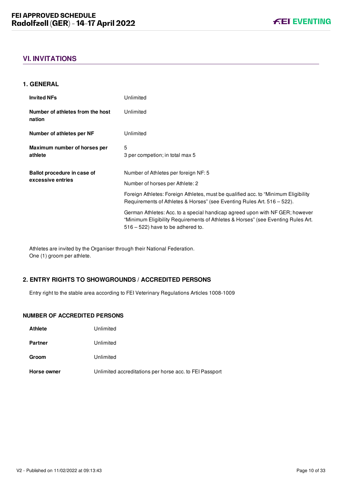# <span id="page-10-0"></span>**VI. INVITATIONS**

#### <span id="page-10-1"></span>**1. GENERAL**

| <b>Invited NFs</b>                         | Unlimited                                                                                                                                                                                                |
|--------------------------------------------|----------------------------------------------------------------------------------------------------------------------------------------------------------------------------------------------------------|
| Number of athletes from the host<br>nation | Unlimited                                                                                                                                                                                                |
| Number of athletes per NF                  | Unlimited                                                                                                                                                                                                |
| Maximum number of horses per<br>athlete    | 5<br>3 per competion; in total max 5                                                                                                                                                                     |
| Ballot procedure in case of                | Number of Athletes per foreign NF: 5                                                                                                                                                                     |
| excessive entries                          | Number of horses per Athlete: 2                                                                                                                                                                          |
|                                            | Foreign Athletes: Foreign Athletes, must be qualified acc. to "Minimum Eligibility"<br>Requirements of Athletes & Horses" (see Eventing Rules Art. 516 – 522).                                           |
|                                            | German Athletes: Acc. to a special handicap agreed upon with NF GER; however<br>"Minimum Eligibility Requirements of Athletes & Horses" (see Eventing Rules Art.<br>$516 - 522$ ) have to be adhered to. |

Athletes are invited by the Organiser through their National Federation. One (1) groom per athlete.

#### <span id="page-10-2"></span>**2. ENTRY RIGHTS TO SHOWGROUNDS / ACCREDITED PERSONS**

Entry right to the stable area according to FEI Veterinary Regulations Articles 1008-1009

#### **NUMBER OF ACCREDITED PERSONS**

| Horse owner    | Unlimited accreditations per horse acc. to FEI Passport |
|----------------|---------------------------------------------------------|
| Groom          | Unlimited                                               |
| <b>Partner</b> | Unlimited                                               |
| <b>Athlete</b> | Unlimited                                               |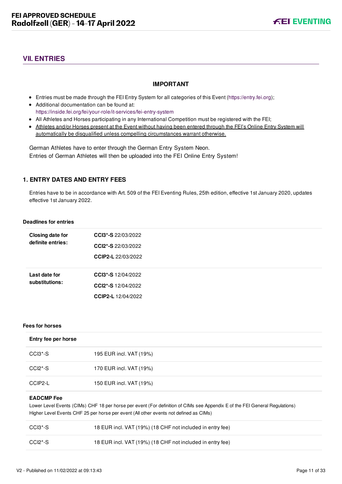# <span id="page-11-0"></span>**VII. ENTRIES**

#### **IMPORTANT**

- Entries must be made through the FEI Entry System for all categories of this Event ([https://entry.fei.org\)](https://entry.fei.org);
- Additional documentation can be found at: <https://inside.fei.org/fei/your-role/it-services/fei-entry-system>
- All Athletes and Horses participating in any International Competition must be registered with the FEI;
- Athletes and/or Horses present at the Event without having been entered through the FEI's Online Entry System will automatically be disqualified unless compelling circumstances warrant otherwise.

German Athletes have to enter through the German Entry System Neon. Entries of German Athletes will then be uploaded into the FEI Online Entry System!

# <span id="page-11-1"></span>**1. ENTRY DATES AND ENTRY FEES**

Entries have to be in accordance with Art. 509 of the FEI Eventing Rules, 25th edition, effective 1st January 2020, updates effective 1st January 2022.

#### **Deadlines for entries**

| <b>Closing date for</b><br>definite entries: | <b>CCI3*-S</b> 22/03/2022<br>CCI2*-S 22/03/2022<br>CCIP2-L 22/03/2022 |
|----------------------------------------------|-----------------------------------------------------------------------|
| Last date for<br>substitutions:              | <b>CCl3*-S</b> 12/04/2022<br>CCI2*-S 12/04/2022<br>CCIP2-L 12/04/2022 |

#### **Fees for horses**

| Entry fee per horse |  |
|---------------------|--|
|---------------------|--|

| CCI3*-S | 195 EUR incl. VAT (19%) |
|---------|-------------------------|
| CCI2*-S | 170 EUR incl. VAT (19%) |
| CCIP2-L | 150 EUR incl. VAT (19%) |

#### **EADCMP Fee**

Lower Level Events (CIMs) CHF 18 per horse per event (For definition of CIMs see Appendix E of the FEI General Regulations) Higher Level Events CHF 25 per horse per event (All other events not defined as CIMs)

| CCI3*-S | 18 EUR incl. VAT (19%) (18 CHF not included in entry fee) |
|---------|-----------------------------------------------------------|
| CCI2*-S | 18 EUR incl. VAT (19%) (18 CHF not included in entry fee) |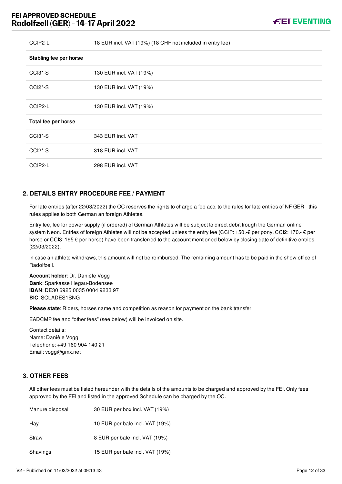| CCIP2-L                          | 18 EUR incl. VAT (19%) (18 CHF not included in entry fee) |
|----------------------------------|-----------------------------------------------------------|
| Stabling fee per horse           |                                                           |
| CCI3*-S                          | 130 EUR incl. VAT (19%)                                   |
| $CCI2*-S$                        | 130 EUR incl. VAT (19%)                                   |
| CCIP2-L                          | 130 EUR incl. VAT (19%)                                   |
| Total fee per horse              |                                                           |
| $CCI3*-S$                        | 343 EUR incl. VAT                                         |
| CCI <sub>2</sub> <sup>*</sup> -S | 318 EUR incl. VAT                                         |
| CCIP2-L                          | 298 EUR incl. VAT                                         |

# <span id="page-12-0"></span>**2. DETAILS ENTRY PROCEDURE FEE / PAYMENT**

For late entries (after 22/03/2022) the OC reserves the rights to charge a fee acc. to the rules for late entries of NF GER - this rules applies to both German an foreign Athletes.

Entry fee, fee for power supply (if ordered) of German Athletes will be subject to direct debit trough the German online system Neon. Entries of foreign Athletes will not be accepted unless the entry fee (CCIP: 150. € per pony, CCI2: 170. € per horse or CCI3: 195  $\epsilon$  per horse) have been transferred to the account mentioned below by closing date of definitive entries (22/03/2022).

In case an athlete withdraws, this amount will not be reimbursed. The remaining amount has to be paid in the show office of Radolfzell.

**Account holder**: Dr. Danièle Vogg **Bank**: Sparkasse Hegau-Bodensee **IBAN**: DE30 6925 0035 0004 9233 97 **BIC**: SOLADES1SNG

**Please state**: Riders, horses name and competition as reason for payment on the bank transfer.

EADCMP fee and "other fees" (see below) will be invoiced on site.

Contact details: Name: Danièle Vogg Telephone: +49 160 904 140 21 Email: vogg@gmx.net

# <span id="page-12-1"></span>**3. OTHER FEES**

All other fees must be listed hereunder with the details of the amounts to be charged and approved by the FEI. Only fees approved by the FEI and listed in the approved Schedule can be charged by the OC.

| Manure disposal | 30 EUR per box incl. VAT (19%)  |
|-----------------|---------------------------------|
| Hay             | 10 EUR per bale incl. VAT (19%) |
| Straw           | 8 EUR per bale incl. VAT (19%)  |
| Shavings        | 15 EUR per bale incl. VAT (19%) |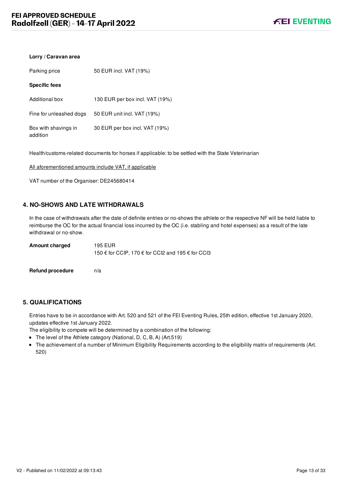# **Lorry / Caravan area**

| Parking price                    | 50 EUR incl. VAT (19%)          |
|----------------------------------|---------------------------------|
| <b>Specific fees</b>             |                                 |
| Additional box                   | 130 EUR per box incl. VAT (19%) |
| Fine for unleashed dogs          | 50 EUR unit incl. VAT (19%)     |
| Box with shavings in<br>addition | 30 EUR per box incl. VAT (19%)  |

Health/customs-related documents for horses if applicable: to be settled with the State Veterinarian

All aforementioned amounts include VAT, if applicable

VAT number of the Organiser: DE245680414

# <span id="page-13-0"></span>**4. NO-SHOWS AND LATE WITHDRAWALS**

In the case of withdrawals after the date of definite entries or no-shows the athlete or the respective NF will be held liable to reimburse the OC for the actual financial loss incurred by the OC (i.e. stabling and hotel expenses) as a result of the late withdrawal or no-show.

| <b>Amount charged</b> | 195 EUR                                           |
|-----------------------|---------------------------------------------------|
|                       | 150 € for CCIP, 170 € for CCI2 and 195 € for CCI3 |
|                       |                                                   |

**Refund procedure** n/a

# <span id="page-13-1"></span>**5. QUALIFICATIONS**

Entries have to be in accordance with Art. 520 and 521 of the FEI Eventing Rules, 25th edition, effective 1st January 2020, updates effective 1st January 2022.

The eligibility to compete will be determined by a combination of the following:

- The level of the Athlete category (National, D, C, B, A) (Art.519)
- The achievement of a number of Minimum Eligibility Requirements according to the eligibility matrix of requirements (Art. 520)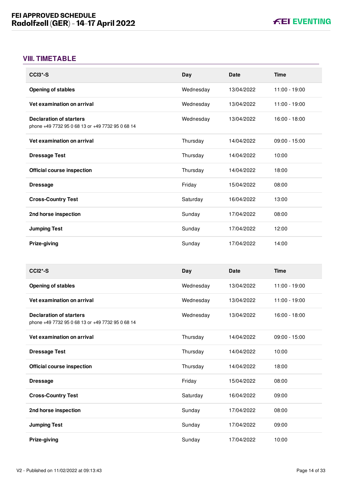# <span id="page-14-0"></span>**VIII. TIMETABLE**

| CCI3*-S                                                                            | Day       | Date        | <b>Time</b>     |
|------------------------------------------------------------------------------------|-----------|-------------|-----------------|
| <b>Opening of stables</b>                                                          | Wednesday | 13/04/2022  | 11:00 - 19:00   |
| Vet examination on arrival                                                         | Wednesday | 13/04/2022  | 11:00 - 19:00   |
| <b>Declaration of starters</b><br>phone +49 7732 95 0 68 13 or +49 7732 95 0 68 14 | Wednesday | 13/04/2022  | 16:00 - 18:00   |
| Vet examination on arrival                                                         | Thursday  | 14/04/2022  | $09:00 - 15:00$ |
| <b>Dressage Test</b>                                                               | Thursday  | 14/04/2022  | 10:00           |
| <b>Official course inspection</b>                                                  | Thursday  | 14/04/2022  | 18:00           |
| <b>Dressage</b>                                                                    | Friday    | 15/04/2022  | 08:00           |
| <b>Cross-Country Test</b>                                                          | Saturday  | 16/04/2022  | 13:00           |
| 2nd horse inspection                                                               | Sunday    | 17/04/2022  | 08:00           |
| <b>Jumping Test</b>                                                                | Sunday    | 17/04/2022  | 12:00           |
| Prize-giving                                                                       | Sunday    | 17/04/2022  | 14:00           |
|                                                                                    |           |             |                 |
| CCI2*-S                                                                            | Day       | <b>Date</b> | <b>Time</b>     |
| <b>Opening of stables</b>                                                          | Wednesday | 13/04/2022  | 11:00 - 19:00   |
| Vet examination on arrival                                                         | Wednesday | 13/04/2022  | 11:00 - 19:00   |
| <b>Declaration of starters</b><br>phone +49 7732 95 0 68 13 or +49 7732 95 0 68 14 | Wednesday | 13/04/2022  | 16:00 - 18:00   |
| Vet examination on arrival                                                         | Thursday  | 14/04/2022  | $09:00 - 15:00$ |
| <b>Dressage Test</b>                                                               | Thursday  | 14/04/2022  | 10:00           |
| <b>Official course inspection</b>                                                  | Thursday  | 14/04/2022  | 18:00           |
| <b>Dressage</b>                                                                    | Friday    | 15/04/2022  | 08:00           |
| <b>Cross-Country Test</b>                                                          | Saturday  | 16/04/2022  | 09:00           |
| 2nd horse inspection                                                               | Sunday    | 17/04/2022  | 08:00           |
| <b>Jumping Test</b>                                                                | Sunday    | 17/04/2022  | 09:00           |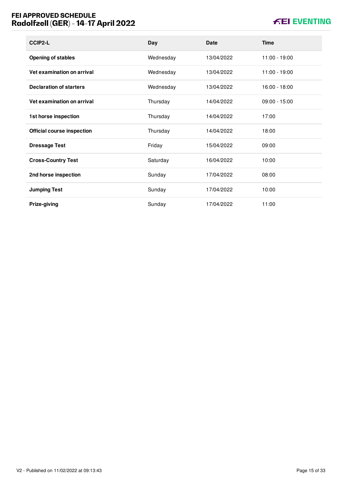# **FEI APPROVED SCHEDULE Radolfzell (GER) - 14-17 April 2022**

# **KEI EVENTING**

| CCIP2-L                           | Day       | <b>Date</b> | Time            |
|-----------------------------------|-----------|-------------|-----------------|
| <b>Opening of stables</b>         | Wednesday | 13/04/2022  | 11:00 - 19:00   |
| Vet examination on arrival        | Wednesday | 13/04/2022  | 11:00 - 19:00   |
| <b>Declaration of starters</b>    | Wednesday | 13/04/2022  | 16:00 - 18:00   |
| Vet examination on arrival        | Thursday  | 14/04/2022  | $09:00 - 15:00$ |
| 1st horse inspection              | Thursday  | 14/04/2022  | 17:00           |
| <b>Official course inspection</b> | Thursday  | 14/04/2022  | 18:00           |
| <b>Dressage Test</b>              | Friday    | 15/04/2022  | 09:00           |
| <b>Cross-Country Test</b>         | Saturday  | 16/04/2022  | 10:00           |
| 2nd horse inspection              | Sunday    | 17/04/2022  | 08:00           |
| <b>Jumping Test</b>               | Sunday    | 17/04/2022  | 10:00           |
| Prize-giving                      | Sunday    | 17/04/2022  | 11:00           |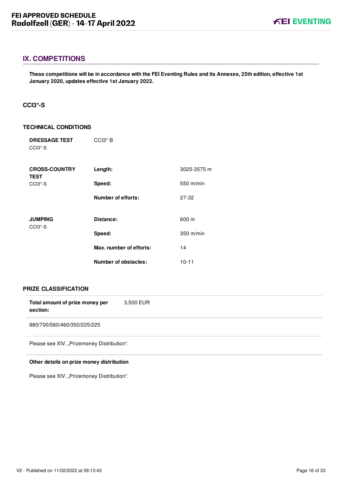# <span id="page-16-0"></span>**IX. COMPETITIONS**

**These competitions will be in accordance with the FEI Eventing Rules and its Annexes, 25th edition, effective 1st January 2020, updates effective 1st January 2022.**

#### <span id="page-16-1"></span>**CCI3\*-S**

#### **TECHNICAL CONDITIONS**

| <b>DRESSAGE TEST</b><br>CCI <sub>3</sub> <sup>*</sup> -S | $CCI3*B$                    |             |
|----------------------------------------------------------|-----------------------------|-------------|
| <b>CROSS-COUNTRY</b><br><b>TEST</b>                      | Length:                     | 3025-3575 m |
| CCI <sub>3</sub> <sup>*</sup> -S                         | Speed:                      | 550 m/min   |
|                                                          | <b>Number of efforts:</b>   | 27-32       |
| <b>JUMPING</b><br>CCI <sub>3</sub> <sup>*</sup> -S       | Distance:                   | 600 m       |
|                                                          | Speed:                      | $350$ m/min |
|                                                          | Max. number of efforts:     | 14          |
|                                                          | <b>Number of obstacles:</b> | $10 - 11$   |

#### **PRIZE CLASSIFICATION**

| Total amount of prize money per<br>section: | 3,500 EUR |
|---------------------------------------------|-----------|
| 980/700/560/460/350/225/225                 |           |
| Please see XIV. "Prizemoney Distribution".  |           |

#### **Other details on prize money distribution**

Please see XIV. "Prizemoney Distribution".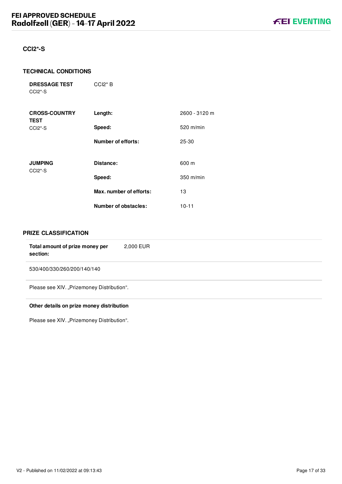#### <span id="page-17-0"></span>**CCI2\*-S**

#### **TECHNICAL CONDITIONS**

**DRESSAGE TEST** CCI2\*-S

| <b>CROSS-COUNTRY</b><br><b>TEST</b>                | Length:                     | 2600 - 3120 m |
|----------------------------------------------------|-----------------------------|---------------|
| CCI <sub>2</sub> <sup>*</sup> -S                   | Speed:                      | $520$ m/min   |
|                                                    | <b>Number of efforts:</b>   | 25-30         |
| <b>JUMPING</b><br>CCI <sub>2</sub> <sup>*</sup> -S | Distance:                   | 600 m         |
|                                                    | Speed:                      | $350$ m/min   |
|                                                    | Max. number of efforts:     | 13            |
|                                                    | <b>Number of obstacles:</b> | $10 - 11$     |

CCI2\* B

#### **PRIZE CLASSIFICATION**

| Total amount of prize money per<br>section: | 2,000 EUR |
|---------------------------------------------|-----------|
| 530/400/330/260/200/140/140                 |           |
| Please see XIV. "Prizemoney Distribution".  |           |

#### **Other details on prize money distribution**

Please see XIV. "Prizemoney Distribution".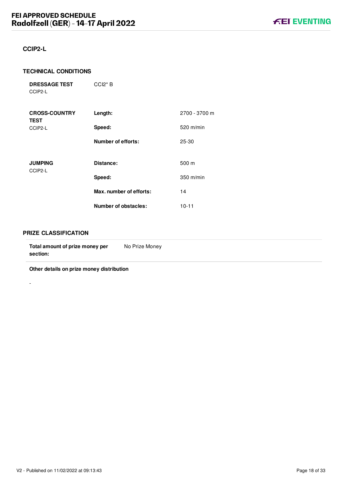# <span id="page-18-0"></span>**CCIP2-L**

#### **TECHNICAL CONDITIONS**

| <b>DRESSAGE TEST</b> | $CCl2*B$ |
|----------------------|----------|
| CCIP2-L              |          |

| <b>CROSS-COUNTRY</b><br><b>TEST</b> | Length:                 | 2700 - 3700 m |
|-------------------------------------|-------------------------|---------------|
| CCIP2-L                             | Speed:                  | 520 m/min     |
|                                     | Number of efforts:      | 25-30         |
| <b>JUMPING</b><br>CCIP2-L           | Distance:               | 500 m         |
|                                     | Speed:                  | 350 m/min     |
|                                     | Max. number of efforts: | 14            |
|                                     | Number of obstacles:    | $10 - 11$     |

#### **PRIZE CLASSIFICATION**

-

| Total amount of prize money per<br>section: | No Prize Money |
|---------------------------------------------|----------------|
|                                             |                |

**Other details on prize money distribution**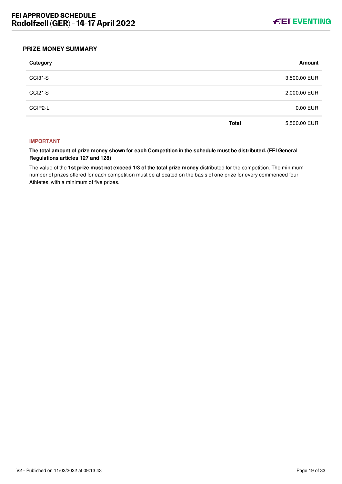

#### <span id="page-19-0"></span>**PRIZE MONEY SUMMARY**

| Category             |              | Amount       |
|----------------------|--------------|--------------|
| CCI3*-S              |              | 3,500.00 EUR |
| CCI <sub>2</sub> *-S |              | 2,000.00 EUR |
| CCIP2-L              |              | 0.00 EUR     |
|                      | <b>Total</b> | 5,500.00 EUR |

#### **IMPORTANT**

**The total amount of prize money shown for each Competition in the schedule must be distributed. (FEI General Regulations articles 127 and 128)**

The value of the **1st prize must not exceed 1/3 of the total prize money** distributed for the competition. The minimum number of prizes offered for each competition must be allocated on the basis of one prize for every commenced four Athletes, with a minimum of five prizes.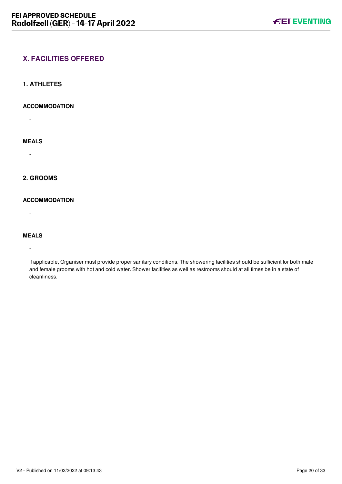# <span id="page-20-0"></span>**X. FACILITIES OFFERED**

#### <span id="page-20-1"></span>**1. ATHLETES**

#### **ACCOMMODATION**

-

# **MEALS**

-

# <span id="page-20-2"></span>**2. GROOMS**

#### **ACCOMMODATION**

-

# **MEALS**

-

If applicable, Organiser must provide proper sanitary conditions. The showering facilities should be sufficient for both male and female grooms with hot and cold water. Shower facilities as well as restrooms should at all times be in a state of cleanliness.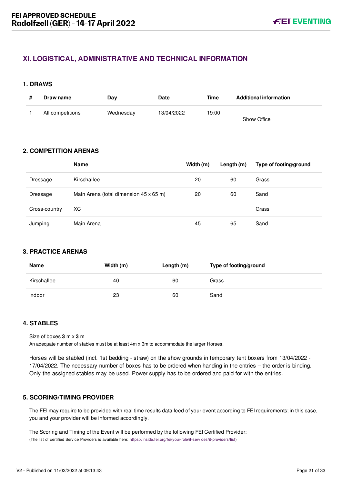# <span id="page-21-0"></span>**XI. LOGISTICAL, ADMINISTRATIVE AND TECHNICAL INFORMATION**

#### <span id="page-21-1"></span>**1. DRAWS**

| Draw name        | Day       | Date       | <b>Time</b> | <b>Additional information</b> |
|------------------|-----------|------------|-------------|-------------------------------|
| All competitions | Wednesday | 13/04/2022 | 19:00       | Show Office                   |

# <span id="page-21-2"></span>**2. COMPETITION ARENAS**

|               | <b>Name</b>                            | Width (m) | Length $(m)$ | Type of footing/ground |
|---------------|----------------------------------------|-----------|--------------|------------------------|
| Dressage      | Kirschallee                            | 20        | 60           | Grass                  |
| Dressage      | Main Arena (total dimension 45 x 65 m) | 20        | 60           | Sand                   |
| Cross-country | ХC                                     |           |              | Grass                  |
| Jumping       | Main Arena                             | 45        | 65           | Sand                   |

# <span id="page-21-3"></span>**3. PRACTICE ARENAS**

| Name        | Width (m) | Length $(m)$ | Type of footing/ground |
|-------------|-----------|--------------|------------------------|
| Kirschallee | 40        | 60           | Grass                  |
| Indoor      | 23        | 60           | Sand                   |

# <span id="page-21-4"></span>**4. STABLES**

Size of boxes **3** m x **3** m

An adequate number of stables must be at least 4m x 3m to accommodate the larger Horses.

Horses will be stabled (incl. 1st bedding - straw) on the show grounds in temporary tent boxers from 13/04/2022 - 17/04/2022. The necessary number of boxes has to be ordered when handing in the entries – the order is binding. Only the assigned stables may be used. Power supply has to be ordered and paid for with the entries.

#### <span id="page-21-5"></span>**5. SCORING/TIMING PROVIDER**

The FEI may require to be provided with real time results data feed of your event according to FEI requirements; in this case, you and your provider will be informed accordingly.

The Scoring and Timing of the Event will be performed by the following FEI Certified Provider: (The list of certified Service Providers is available here: [https://inside.fei.org/fei/your-role/it-services/it-providers/list\)](https://inside.fei.org/fei/your-role/it-services/it-providers/list)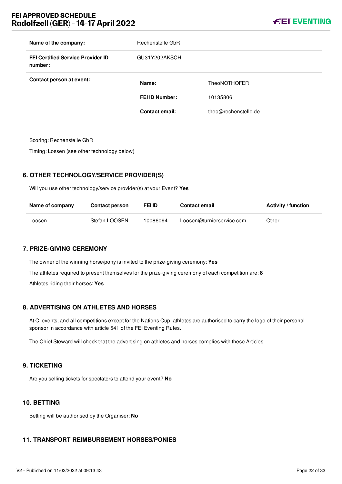# **FEI APPROVED SCHEDULE Radolfzell (GER) - 14-17 April 2022**



| Name of the company:                                | Rechenstelle GbR      |                      |
|-----------------------------------------------------|-----------------------|----------------------|
| <b>FEI Certified Service Provider ID</b><br>number: | GU31Y202AKSCH         |                      |
| Contact person at event:                            | Name:                 | <b>TheoNOTHOFER</b>  |
|                                                     | <b>FEI ID Number:</b> | 10135806             |
|                                                     | Contact email:        | theo@rechenstelle.de |
|                                                     |                       |                      |

Scoring: Rechenstelle GbR

Timing: Lossen (see other technology below)

# <span id="page-22-0"></span>**6. OTHER TECHNOLOGY/SERVICE PROVIDER(S)**

Will you use other technology/service provider(s) at your Event? **Yes**

| Name of company | <b>Contact person</b> | <b>FEI ID</b> | <b>Contact email</b>      | <b>Activity / function</b> |
|-----------------|-----------------------|---------------|---------------------------|----------------------------|
| Loosen          | Stefan LOOSEN         | 10086094      | Loosen@turnierservice.com | Other                      |

# <span id="page-22-1"></span>**7. PRIZE-GIVING CEREMONY**

The owner of the winning horse/pony is invited to the prize-giving ceremony: **Yes** The athletes required to present themselves for the prize-giving ceremony of each competition are: **8** Athletes riding their horses: **Yes**

# <span id="page-22-2"></span>**8. ADVERTISING ON ATHLETES AND HORSES**

At CI events, and all competitions except for the Nations Cup, athletes are authorised to carry the logo of their personal sponsor in accordance with article 541 of the FEI Eventing Rules.

The Chief Steward will check that the advertising on athletes and horses complies with these Articles.

#### <span id="page-22-3"></span>**9. TICKETING**

Are you selling tickets for spectators to attend your event? **No**

# <span id="page-22-4"></span>**10. BETTING**

Betting will be authorised by the Organiser: **No**

# <span id="page-22-5"></span>**11. TRANSPORT REIMBURSEMENT HORSES/PONIES**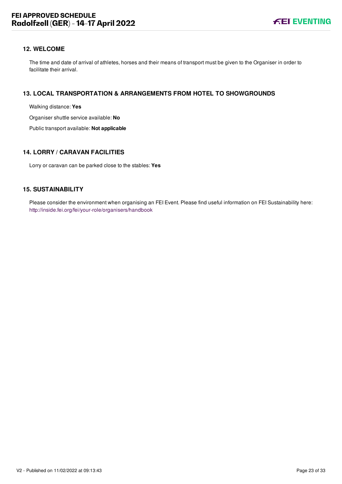#### <span id="page-23-0"></span>**12. WELCOME**

The time and date of arrival of athletes, horses and their means of transport must be given to the Organiser in order to facilitate their arrival.

#### <span id="page-23-1"></span>**13. LOCAL TRANSPORTATION & ARRANGEMENTS FROM HOTEL TO SHOWGROUNDS**

Walking distance: **Yes**

Organiser shuttle service available: **No**

Public transport available: **Not applicable**

#### <span id="page-23-2"></span>**14. LORRY / CARAVAN FACILITIES**

Lorry or caravan can be parked close to the stables: **Yes**

#### <span id="page-23-3"></span>**15. SUSTAINABILITY**

Please consider the environment when organising an FEI Event. Please find useful information on FEI Sustainability here: <http://inside.fei.org/fei/your-role/organisers/handbook>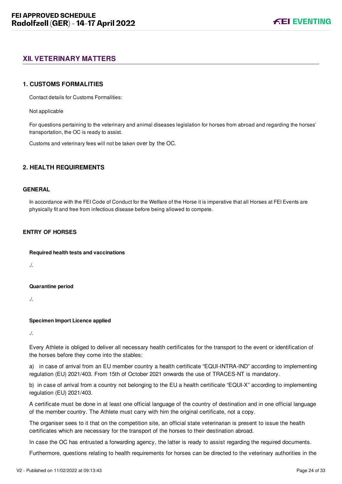# <span id="page-24-0"></span>**XII. VETERINARY MATTERS**

#### <span id="page-24-1"></span>**1. CUSTOMS FORMALITIES**

Contact details for Customs Formalities:

Not applicable

For questions pertaining to the veterinary and animal diseases legislation for horses from abroad and regarding the horses' transportation, the OC is ready to assist.

Customs and veterinary fees will not be taken over by the OC.

#### <span id="page-24-2"></span>**2. HEALTH REQUIREMENTS**

#### **GENERAL**

In accordance with the FEI Code of Conduct for the Welfare of the Horse it is imperative that all Horses at FEI Events are physically fit and free from infectious disease before being allowed to compete.

#### **ENTRY OF HORSES**

**Required health tests and vaccinations**

./.

**Quarantine period**

./.

#### **Specimen Import Licence applied**

./.

Every Athlete is obliged to deliver all necessary health certificates for the transport to the event or identification of the horses before they come into the stables:

a) in case of arrival from an EU member country a health certificate "EQUI-INTRA-IND" according to implementing regulation (EU) 2021/403. From 15th of October 2021 onwards the use of TRACES-NT is mandatory.

b) in case of arrival from a country not belonging to the EU a health certificate "EQUI-X" according to implementing regulation (EU) 2021/403.

A certificate must be done in at least one official language of the country of destination and in one official language of the member country. The Athlete must carry with him the original certificate, not a copy.

The organiser sees to it that on the competition site, an official state veterinarian is present to issue the health certificates which are necessary for the transport of the horses to their destination abroad.

In case the OC has entrusted a forwarding agency, the latter is ready to assist regarding the required documents.

Furthermore, questions relating to health requirements for horses can be directed to the veterinary authorities in the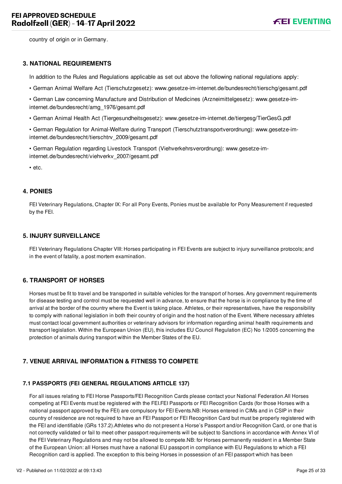country of origin or in Germany.

#### <span id="page-25-0"></span>**3. NATIONAL REQUIREMENTS**

In addition to the Rules and Regulations applicable as set out above the following national regulations apply:

- German Animal Welfare Act (Tierschutzgesetz): www.gesetze-im-internet.de/bundesrecht/tierschg/gesamt.pdf
- German Law concerning Manufacture and Distribution of Medicines (Arzneimittelgesetz): www.gesetze-iminternet.de/bundesrecht/amg\_1976/gesamt.pdf
- German Animal Health Act (Tiergesundheitsgesetz): www.gesetze-im-internet.de/tiergesg/TierGesG.pdf
- German Regulation for Animal-Welfare during Transport (Tierschutztransportverordnung): www.gesetze-iminternet.de/bundesrecht/tierschtrv\_2009/gesamt.pdf
- German Regulation regarding Livestock Transport (Viehverkehrsverordnung): www.gesetze-iminternet.de/bundesrecht/viehverkv\_2007/gesamt.pdf

• etc.

#### <span id="page-25-1"></span>**4. PONIES**

FEI Veterinary Regulations, Chapter IX: For all Pony Events, Ponies must be available for Pony Measurement if requested by the FEI.

#### <span id="page-25-2"></span>**5. INJURY SURVEILLANCE**

FEI Veterinary Regulations Chapter VIII: Horses participating in FEI Events are subject to injury surveillance protocols; and in the event of fatality, a post mortem examination.

# <span id="page-25-3"></span>**6. TRANSPORT OF HORSES**

Horses must be fit to travel and be transported in suitable vehicles for the transport of horses. Any government requirements for disease testing and control must be requested well in advance, to ensure that the horse is in compliance by the time of arrival at the border of the country where the Event is taking place. Athletes, or their representatives, have the responsibility to comply with national legislation in both their country of origin and the host nation of the Event. Where necessary athletes must contact local government authorities or veterinary advisors for information regarding animal health requirements and transport legislation. Within the European Union (EU), this includes EU Council Regulation (EC) No 1/2005 concerning the protection of animals during transport within the Member States of the EU.

# <span id="page-25-4"></span>**7. VENUE ARRIVAL INFORMATION & FITNESS TO COMPETE**

# <span id="page-25-5"></span>**7.1 PASSPORTS (FEI GENERAL REGULATIONS ARTICLE 137)**

For all issues relating to FEI Horse Passports/FEI Recognition Cards please contact your National Federation.All Horses competing at FEI Events must be registered with the FEI.FEI Passports or FEI Recognition Cards (for those Horses with a national passport approved by the FEI) are compulsory for FEI Events.NB: Horses entered in CIMs and in CSIP in their country of residence are not required to have an FEI Passport or FEI Recognition Card but must be properly registered with the FEI and identifiable (GRs 137.2).Athletes who do not present a Horse's Passport and/or Recognition Card, or one that is not correctly validated or fail to meet other passport requirements will be subject to Sanctions in accordance with Annex VI of the FEI Veterinary Regulations and may not be allowed to compete.NB: for Horses permanently resident in a Member State of the European Union: all Horses must have a national EU passport in compliance with EU Regulations to which a FEI Recognition card is applied. The exception to this being Horses in possession of an FEI passport which has been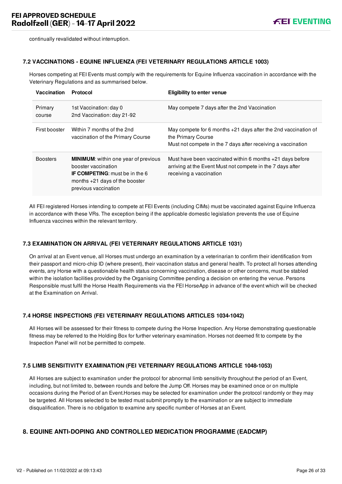continually revalidated without interruption.

#### <span id="page-26-0"></span>**7.2 VACCINATIONS - EQUINE INFLUENZA (FEI VETERINARY REGULATIONS ARTICLE 1003)**

Horses competing at FEI Events must comply with the requirements for Equine Influenza vaccination in accordance with the Veterinary Regulations and as summarised below.

| Vaccination       | Protocol                                                                                                                                                                | <b>Eligibility to enter venue</b>                                                                                                                      |
|-------------------|-------------------------------------------------------------------------------------------------------------------------------------------------------------------------|--------------------------------------------------------------------------------------------------------------------------------------------------------|
| Primary<br>course | 1st Vaccination: day 0<br>2nd Vaccination: day 21-92                                                                                                                    | May compete 7 days after the 2nd Vaccination                                                                                                           |
| First booster     | Within 7 months of the 2nd<br>vaccination of the Primary Course                                                                                                         | May compete for 6 months $+21$ days after the 2nd vaccination of<br>the Primary Course<br>Must not compete in the 7 days after receiving a vaccination |
| <b>Boosters</b>   | <b>MINIMUM:</b> within one year of previous<br>booster vaccination<br><b>IF COMPETING:</b> must be in the 6<br>months $+21$ days of the booster<br>previous vaccination | Must have been vaccinated within 6 months $+21$ days before<br>arriving at the Event Must not compete in the 7 days after<br>receiving a vaccination   |

All FEI registered Horses intending to compete at FEI Events (including CIMs) must be vaccinated against Equine Influenza in accordance with these VRs. The exception being if the applicable domestic legislation prevents the use of Equine Influenza vaccines within the relevant territory.

#### <span id="page-26-1"></span>**7.3 EXAMINATION ON ARRIVAL (FEI VETERINARY REGULATIONS ARTICLE 1031)**

On arrival at an Event venue, all Horses must undergo an examination by a veterinarian to confirm their identification from their passport and micro-chip ID (where present), their vaccination status and general health. To protect all horses attending events, any Horse with a questionable health status concerning vaccination, disease or other concerns, must be stabled within the isolation facilities provided by the Organising Committee pending a decision on entering the venue. Persons Responsible must fulfil the Horse Health Requirements via the FEI HorseApp in advance of the event which will be checked at the Examination on Arrival.

#### <span id="page-26-2"></span>**7.4 HORSE INSPECTIONS (FEI VETERINARY REGULATIONS ARTICLES 1034-1042)**

All Horses will be assessed for their fitness to compete during the Horse Inspection. Any Horse demonstrating questionable fitness may be referred to the Holding Box for further veterinary examination. Horses not deemed fit to compete by the Inspection Panel will not be permitted to compete.

#### <span id="page-26-3"></span>**7.5 LIMB SENSITIVITY EXAMINATION (FEI VETERINARY REGULATIONS ARTICLE 1048-1053)**

All Horses are subject to examination under the protocol for abnormal limb sensitivity throughout the period of an Event, including, but not limited to, between rounds and before the Jump Off. Horses may be examined once or on multiple occasions during the Period of an Event.Horses may be selected for examination under the protocol randomly or they may be targeted. All Horses selected to be tested must submit promptly to the examination or are subject to immediate disqualification. There is no obligation to examine any specific number of Horses at an Event.

#### <span id="page-26-4"></span>**8. EQUINE ANTI-DOPING AND CONTROLLED MEDICATION PROGRAMME (EADCMP)**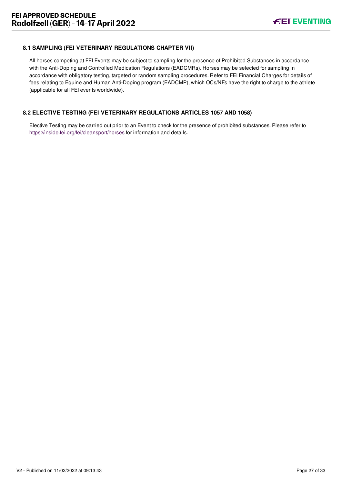#### <span id="page-27-0"></span>**8.1 SAMPLING (FEI VETERINARY REGULATIONS CHAPTER VII)**

All horses competing at FEI Events may be subject to sampling for the presence of Prohibited Substances in accordance with the Anti-Doping and Controlled Medication Regulations (EADCMRs). Horses may be selected for sampling in accordance with obligatory testing, targeted or random sampling procedures. Refer to FEI Financial Charges for details of fees relating to Equine and Human Anti-Doping program (EADCMP), which OCs/NFs have the right to charge to the athlete (applicable for all FEI events worldwide).

#### <span id="page-27-1"></span>**8.2 ELECTIVE TESTING (FEI VETERINARY REGULATIONS ARTICLES 1057 AND 1058)**

Elective Testing may be carried out prior to an Event to check for the presence of prohibited substances. Please refer to <https://inside.fei.org/fei/cleansport/horses>for information and details.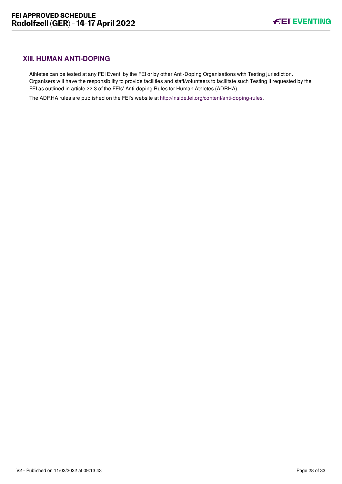# <span id="page-28-0"></span>**XIII. HUMAN ANTI-DOPING**

Athletes can be tested at any FEI Event, by the FEI or by other Anti-Doping Organisations with Testing jurisdiction. Organisers will have the responsibility to provide facilities and staff/volunteers to facilitate such Testing if requested by the FEI as outlined in article 22.3 of the FEIs' Anti-doping Rules for Human Athletes (ADRHA).

The ADRHA rules are published on the FEI's website at [http://inside.fei.org/content/anti-doping-rules.](http://inside.fei.org/content/anti-doping-rules)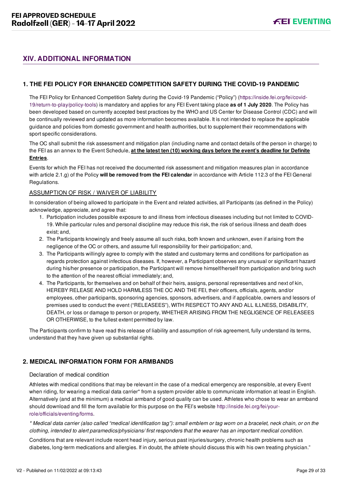# <span id="page-29-0"></span>**XIV. ADDITIONAL INFORMATION**

## <span id="page-29-1"></span>**1. THE FEI POLICY FOR ENHANCED COMPETITION SAFETY DURING THE COVID-19 PANDEMIC**

[The FEI Policy for Enhanced Competition Safety during the Covid-19 Pandemic \("Policy"\) \(https://inside.fei.org/fei/covid-](https://inside.fei.org/fei/covid-19/return-to-play/policy-tools)19/return-to-play/policy-tools) is mandatory and applies for any FEI Event taking place **as of 1 July 2020**. The Policy has been developed based on currently accepted best practices by the WHO and US Center for Disease Control (CDC) and will be continually reviewed and updated as more information becomes available. It is not intended to replace the applicable guidance and policies from domestic government and health authorities, but to supplement their recommendations with sport specific considerations.

The OC shall submit the risk assessment and mitigation plan (including name and contact details of the person in charge) to the FEI as an annex to the Event Schedule, **at the latest ten (10) working days before the event's deadline for Definite Entries**.

Events for which the FEI has not received the documented risk assessment and mitigation measures plan in accordance with article 2.1.g) of the Policy **will be removed from the FEI calendar** in accordance with Article 112.3 of the FEI General Regulations.

#### ASSUMPTION OF RISK / WAIVER OF LIABILITY

In consideration of being allowed to participate in the Event and related activities, all Participants (as defined in the Policy) acknowledge, appreciate, and agree that:

- 1. Participation includes possible exposure to and illness from infectious diseases including but not limited to COVID-19. While particular rules and personal discipline may reduce this risk, the risk of serious illness and death does exist; and,
- 2. The Participants knowingly and freely assume all such risks, both known and unknown, even if arising from the negligence of the OC or others, and assume full responsibility for their participation; and,
- 3. The Participants willingly agree to comply with the stated and customary terms and conditions for participation as regards protection against infectious diseases. If, however, a Participant observes any unusual or significant hazard during his/her presence or participation, the Participant will remove himself/herself from participation and bring such to the attention of the nearest official immediately; and,
- 4. The Participants, for themselves and on behalf of their heirs, assigns, personal representatives and next of kin, HEREBY RELEASE AND HOLD HARMLESS THE OC AND THE FEI, their officers, officials, agents, and/or employees, other participants, sponsoring agencies, sponsors, advertisers, and if applicable, owners and lessors of premises used to conduct the event ("RELEASEES"), WITH RESPECT TO ANY AND ALL ILLNESS, DISABILITY, DEATH, or loss or damage to person or property, WHETHER ARISING FROM THE NEGLIGENCE OF RELEASEES OR OTHERWISE, to the fullest extent permitted by law.

The Participants confirm to have read this release of liability and assumption of risk agreement, fully understand its terms, understand that they have given up substantial rights.

# <span id="page-29-2"></span>**2. MEDICAL INFORMATION FORM FOR ARMBANDS**

#### Declaration of medical condition

Athletes with medical conditions that may be relevant in the case of a medical emergency are responsible, at every Event when riding, for wearing a medical data carrier\* from a system provider able to communicate information at least in English. Alternatively (and at the minimum) a medical armband of good quality can be used. Athletes who chose to wear an armband [should download and fill the form available for this purpose on the FEI's website http://inside.fei.org/fei/your](http://inside.fei.org/fei/your-role/officials/eventing/forms)role/officials/eventing/forms.

*\* Medical data carrier (also called "medical identification tag"): small emblem or tag worn on a bracelet, neck chain, or on the clothing, intended to alert paramedics/physicians/ first responders that the wearer has an important medical condition.*

Conditions that are relevant include recent head injury, serious past injuries/surgery, chronic health problems such as diabetes, long-term medications and allergies. If in doubt, the athlete should discuss this with his own treating physician."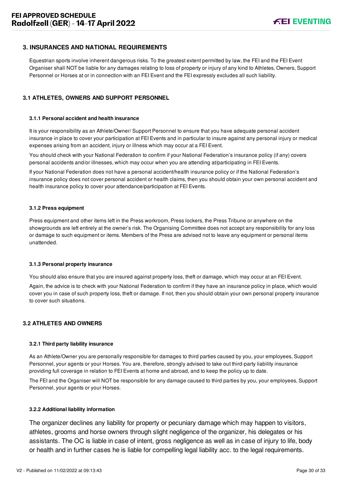## <span id="page-30-0"></span>**3. INSURANCES AND NATIONAL REQUIREMENTS**

Equestrian sports involve inherent dangerous risks. To the greatest extent permitted by law, the FEI and the FEI Event Organiser shall NOT be liable for any damages relating to loss of property or injury of any kind to Athletes, Owners, Support Personnel or Horses at or in connection with an FEI Event and the FEI expressly excludes all such liability.

#### <span id="page-30-1"></span>**3.1 ATHLETES, OWNERS AND SUPPORT PERSONNEL**

#### **3.1.1 Personal accident and health insurance**

It is your responsibility as an Athlete/Owner/ Support Personnel to ensure that you have adequate personal accident insurance in place to cover your participation at FEI Events and in particular to insure against any personal injury or medical expenses arising from an accident, injury or illness which may occur at a FEI Event.

You should check with your National Federation to confirm if your National Federation's insurance policy (if any) covers personal accidents and/or illnesses, which may occur when you are attending at/participating in FEI Events.

If your National Federation does not have a personal accident/health insurance policy or if the National Federation's insurance policy does not cover personal accident or health claims, then you should obtain your own personal accident and health insurance policy to cover your attendance/participation at FEI Events.

#### **3.1.2 Press equipment**

Press equipment and other items left in the Press workroom, Press lockers, the Press Tribune or anywhere on the showgrounds are left entirely at the owner's risk. The Organising Committee does not accept any responsibility for any loss or damage to such equipment or items. Members of the Press are advised not to leave any equipment or personal items unattended.

#### **3.1.3 Personal property insurance**

You should also ensure that you are insured against property loss, theft or damage, which may occur at an FEI Event.

Again, the advice is to check with your National Federation to confirm if they have an insurance policy in place, which would cover you in case of such property loss, theft or damage. If not, then you should obtain your own personal property insurance to cover such situations.

#### <span id="page-30-2"></span>**3.2 ATHLETES AND OWNERS**

#### **3.2.1 Third party liability insurance**

As an Athlete/Owner you are personally responsible for damages to third parties caused by you, your employees, Support Personnel, your agents or your Horses. You are, therefore, strongly advised to take out third-party liability insurance providing full coverage in relation to FEI Events at home and abroad, and to keep the policy up to date.

The FEI and the Organiser will NOT be responsible for any damage caused to third parties by you, your employees, Support Personnel, your agents or your Horses.

#### **3.2.2 Additional liability information**

The organizer declines any liability for property or pecuniary damage which may happen to visitors, athletes, grooms and horse owners through slight negligence of the organizer, his delegates or his assistants. The OC is liable in case of intent, gross negligence as well as in case of injury to life, body or health and in further cases he is liable for compelling legal liability acc. to the legal requirements.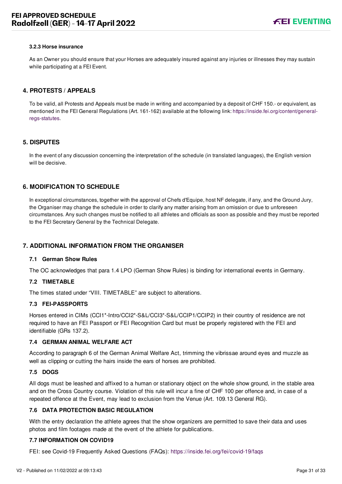#### **3.2.3 Horse insurance**

As an Owner you should ensure that your Horses are adequately insured against any injuries or illnesses they may sustain while participating at a FEI Event.

#### <span id="page-31-0"></span>**4. PROTESTS / APPEALS**

To be valid, all Protests and Appeals must be made in writing and accompanied by a deposit of CHF 150.- or equivalent, as [mentioned in the FEI General Regulations \(Art. 161-162\) available at the following link: https://inside.fei.org/content/general](https://inside.fei.org/content/general-regs-statutes)regs-statutes.

#### <span id="page-31-1"></span>**5. DISPUTES**

In the event of any discussion concerning the interpretation of the schedule (in translated languages), the English version will be decisive.

#### <span id="page-31-2"></span>**6. MODIFICATION TO SCHEDULE**

In exceptional circumstances, together with the approval of Chefs d'Equipe, host NF delegate, if any, and the Ground Jury, the Organiser may change the schedule in order to clarify any matter arising from an omission or due to unforeseen circumstances. Any such changes must be notified to all athletes and officials as soon as possible and they must be reported to the FEI Secretary General by the Technical Delegate.

#### <span id="page-31-3"></span>**7. ADDITIONAL INFORMATION FROM THE ORGANISER**

#### **7.1 German Show Rules**

The OC acknowledges that para 1.4 LPO (German Show Rules) is binding for international events in Germany.

#### **7.2 TIMETABLE**

The times stated under "VIII. TIMETABLE" are subject to alterations.

#### **7.3 FEI-PASSPORTS**

Horses entered in CIMs (CCI1\*-Intro/CCI2\*-S&L/CCI3\*-S&L/CCIP1/CCIP2) in their country of residence are not required to have an FEI Passport or FEI Recognition Card but must be properly registered with the FEI and identifiable (GRs 137.2).

#### **7.4 GERMAN ANIMAL WELFARE ACT**

According to paragraph 6 of the German Animal Welfare Act, trimming the vibrissae around eyes and muzzle as well as clipping or cutting the hairs inside the ears of horses are prohibited.

#### **7.5 DOGS**

All dogs must be leashed and affixed to a human or stationary object on the whole show ground, in the stable area and on the Cross Country course. Violation of this rule will incur a fine of CHF 100 per offence and, in case of a repeated offence at the Event, may lead to exclusion from the Venue (Art. 109.13 General RG).

#### **7.6 DATA PROTECTION BASIC REGULATION**

With the entry declaration the athlete agrees that the show organizers are permitted to save their data and uses photos and film footages made at the event of the athlete for publications.

#### **7.7 INFORMATION ON COVID19**

FEI: see Covid-19 Frequently Asked Questions (FAQs): <https://inside.fei.org/fei/covid-19/faqs>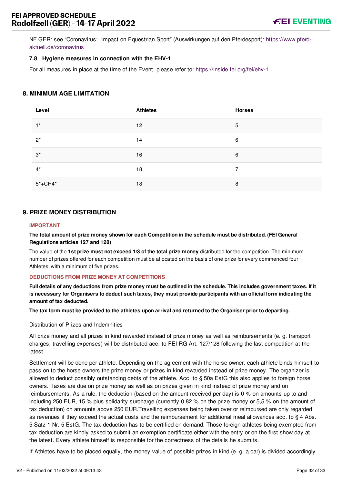[NF GER: see "Coronavirus: "Impact on Equestrian Sport" \(Auswirkungen auf den Pferdesport\): https://www.pferd](https://www.pferd-aktuell.de/coronavirus)aktuell.de/coronavirus

#### **7.8 Hygiene measures in connection with the EHV-1**

For all measures in place at the time of the Event, please refer to:<https://inside.fei.org/fei/ehv-1>.

#### <span id="page-32-0"></span>**8. MINIMUM AGE LIMITATION**

| Level       | <b>Athletes</b> | <b>Horses</b> |
|-------------|-----------------|---------------|
| $1^*$       | 12              | 5             |
| $2^*$       | 14              | 6             |
| $3^*$       | 16              | 6             |
| $4^*$       | 18              | 7             |
| $5* + CH4*$ | 18              | 8             |

#### <span id="page-32-1"></span>**9. PRIZE MONEY DISTRIBUTION**

#### **IMPORTANT**

**The total amount of prize money shown for each Competition in the schedule must be distributed. (FEI General Regulations articles 127 and 128)**

The value of the **1st prize must not exceed 1/3 of the total prize money** distributed for the competition. The minimum number of prizes offered for each competition must be allocated on the basis of one prize for every commenced four Athletes, with a minimum of five prizes.

#### **DEDUCTIONS FROM PRIZE MONEY AT COMPETITIONS**

**Full details of any deductions from prize money must be outlined in the schedule. This includes government taxes. If it is necessary for Organisers to deduct such taxes, they must provide participants with an official form indicating the amount of tax deducted.**

**The tax form must be provided to the athletes upon arrival and returned to the Organiser prior to departing.**

#### Distribution of Prizes and Indemnities

All prize money and all prizes in kind rewarded instead of prize money as well as reimbursements (e. g. transport charges, travelling expenses) will be distributed acc. to FEI-RG Art. 127/128 following the last competition at the latest.

Settlement will be done per athlete. Depending on the agreement with the horse owner, each athlete binds himself to pass on to the horse owners the prize money or prizes in kind rewarded instead of prize money. The organizer is allowed to deduct possibly outstanding debts of the athlete. Acc. to § 50a EstG this also applies to foreign horse owners. Taxes are due on prize money as well as on prizes given in kind instead of prize money and on reimbursements. As a rule, the deduction (based on the amount received per day) is 0 % on amounts up to and including 250 EUR, 15 % plus solidarity surcharge (currently 0,82 % on the prize money or 5,5 % on the amount of tax deduction) on amounts above 250 EUR.Travelling expenses being taken over or reimbursed are only regarded as revenues if they exceed the actual costs and the reimbursement for additional meal allowances acc. to § 4 Abs. 5 Satz 1 Nr. 5 EstG. The tax deduction has to be certified on demand. Those foreign athletes being exempted from tax deduction are kindly asked to submit an exemption certificate either with the entry or on the first show day at the latest. Every athlete himself is responsible for the correctness of the details he submits.

If Athletes have to be placed equally, the money value of possible prizes in kind (e. g. a car) is divided accordingly.